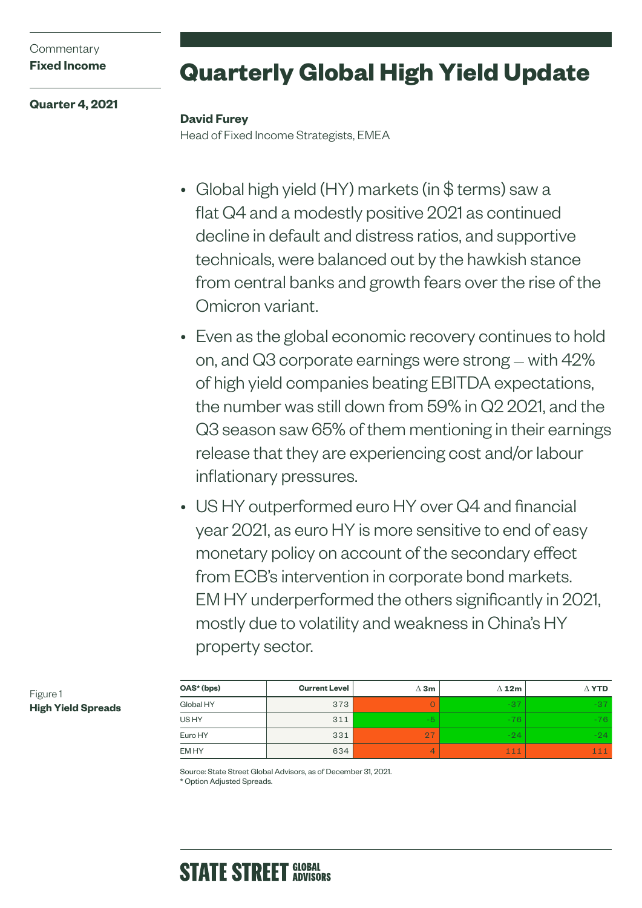## **Commentary Fixed Income**

**Quarter 4, 2021**

# **Quarterly Global High Yield Update**

## **David Furey**

Head of Fixed Income Strategists, EMEA

- Global high yield (HY) markets (in \$ terms) saw a flat Q4 and a modestly positive 2021 as continued decline in default and distress ratios, and supportive technicals, were balanced out by the hawkish stance from central banks and growth fears over the rise of the Omicron variant.
- Even as the global economic recovery continues to hold on, and Q3 corporate earnings were strong — with 42% of high yield companies beating EBITDA expectations, the number was still down from 59% in Q2 2021, and the Q3 season saw 65% of them mentioning in their earnings release that they are experiencing cost and/or labour inflationary pressures.
- US HY outperformed euro HY over Q4 and financial year 2021, as euro HY is more sensitive to end of easy monetary policy on account of the secondary effect from ECB's intervention in corporate bond markets. EM HY underperformed the others significantly in 2021, mostly due to volatility and weakness in China's HY property sector.

| OAS* (bps) | <b>Current Level</b> | $\Delta$ 3m    | $\Delta$ 12m | $\Delta$ YTD |
|------------|----------------------|----------------|--------------|--------------|
| Global HY  | 373                  | <b>Service</b> | $-37$        | $-37$        |
| US HY      | 311                  | $-5$           | $-76$        | $-76$        |
| Euro HY    | 331                  | 27             | $-24$        | $-94$        |
| EM HY      | 634                  | 4              | 111          | 111          |

Source: State Street Global Advisors, as of December 31, 2021. \* Option Adjusted Spreads.

#### Figure 1 **High Yield Spreads**

# **STATE STREET GLOBAL**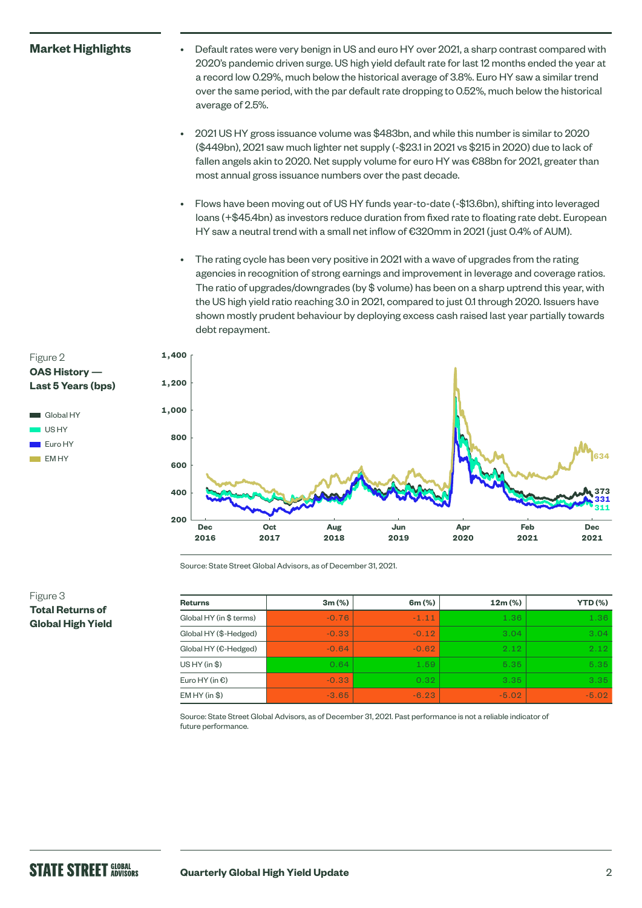### **Market Highlights**

- Default rates were very benign in US and euro HY over 2021, a sharp contrast compared with 2020's pandemic driven surge. US high yield default rate for last 12 months ended the year at a record low 0.29%, much below the historical average of 3.8%. Euro HY saw a similar trend over the same period, with the par default rate dropping to 0.52%, much below the historical average of 2.5%.
- 2021 US HY gross issuance volume was \$483bn, and while this number is similar to 2020 (\$449bn), 2021 saw much lighter net supply (-\$23.1 in 2021 vs \$215 in 2020) due to lack of fallen angels akin to 2020. Net supply volume for euro HY was €88bn for 2021, greater than most annual gross issuance numbers over the past decade.
- Flows have been moving out of US HY funds year-to-date (-\$13.6bn), shifting into leveraged loans (+\$45.4bn) as investors reduce duration from fixed rate to floating rate debt. European HY saw a neutral trend with a small net inflow of €320mm in 2021 (just 0.4% of AUM).
- The rating cycle has been very positive in 2021 with a wave of upgrades from the rating agencies in recognition of strong earnings and improvement in leverage and coverage ratios. The ratio of upgrades/downgrades (by \$ volume) has been on a sharp uptrend this year, with the US high yield ratio reaching 3.0 in 2021, compared to just 0.1 through 2020. Issuers have shown mostly prudent behaviour by deploying excess cash raised last year partially towards debt repayment.



Source: State Street Global Advisors, as of December 31, 2021.

### Figure 3 **Total Returns of Global High Yield**

| <b>Returns</b>           | $3m$ (%) | 6m (%)  | 12m (%) | $YTD$ (%) |
|--------------------------|----------|---------|---------|-----------|
| Global HY (in \$ terms)  | $-0.76$  | $-1.11$ | 1.36    | 1.36      |
| Global HY (\$-Hedged)    | $-0.33$  | $-0.12$ | 3.04    | 3.04      |
| Global HY (€-Hedged)     | $-0.64$  | $-0.62$ | 2.12    | 2.12      |
| US HY (in \$)            | 0.64     | 1.59    | 5.35    | 5.35      |
| Euro HY (in $\epsilon$ ) | $-0.33$  | 0.32    | 3.35    | 3.35      |
| EMHY (in \$)             | $-3.65$  | $-6.23$ | $-5.02$ | $-5.02$   |

Source: State Street Global Advisors, as of December 31, 2021. Past performance is not a reliable indicator of future performance.

Figure 2

**OAS History — Last 5 Years (bps)**

Global HY US<sub>HY</sub> Euro HY  $F$ M HY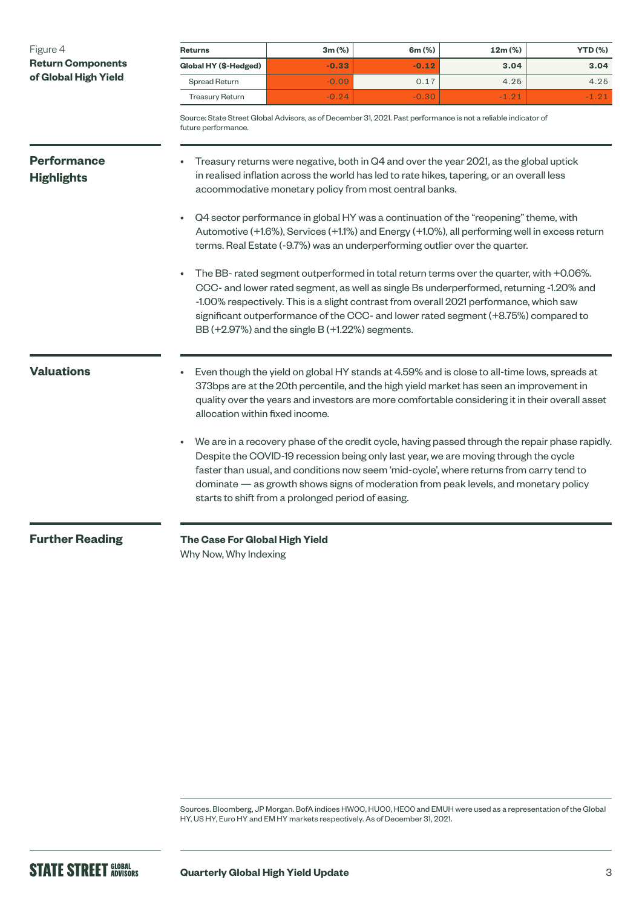| Figure 4                                         | <b>Returns</b>                                                                                                                                                                                                                                                                                                                                                                                                                                                                                                                                                                                                                                                                                                                                                                                                                                                                                                                                     | $3m$ (%)                                           | $6m$ (%) | 12m (%)                                                                                                                                                                          | <b>YTD (%)</b> |  |  |  |
|--------------------------------------------------|----------------------------------------------------------------------------------------------------------------------------------------------------------------------------------------------------------------------------------------------------------------------------------------------------------------------------------------------------------------------------------------------------------------------------------------------------------------------------------------------------------------------------------------------------------------------------------------------------------------------------------------------------------------------------------------------------------------------------------------------------------------------------------------------------------------------------------------------------------------------------------------------------------------------------------------------------|----------------------------------------------------|----------|----------------------------------------------------------------------------------------------------------------------------------------------------------------------------------|----------------|--|--|--|
| <b>Return Components</b><br>of Global High Yield | Global HY (\$-Hedged)                                                                                                                                                                                                                                                                                                                                                                                                                                                                                                                                                                                                                                                                                                                                                                                                                                                                                                                              | $-0.33$                                            | $-0.12$  | 3.04                                                                                                                                                                             | 3.04           |  |  |  |
|                                                  | Spread Return                                                                                                                                                                                                                                                                                                                                                                                                                                                                                                                                                                                                                                                                                                                                                                                                                                                                                                                                      | $-0.09$                                            | 0.17     | 4.25                                                                                                                                                                             | 4.25           |  |  |  |
|                                                  | <b>Treasury Return</b>                                                                                                                                                                                                                                                                                                                                                                                                                                                                                                                                                                                                                                                                                                                                                                                                                                                                                                                             | $-0.24$                                            | $-0.30$  | $-1.21$                                                                                                                                                                          | $-1.21$        |  |  |  |
|                                                  | Source: State Street Global Advisors, as of December 31, 2021. Past performance is not a reliable indicator of<br>future performance.                                                                                                                                                                                                                                                                                                                                                                                                                                                                                                                                                                                                                                                                                                                                                                                                              |                                                    |          |                                                                                                                                                                                  |                |  |  |  |
| <b>Performance</b><br><b>Highlights</b>          | Treasury returns were negative, both in Q4 and over the year 2021, as the global uptick<br>in realised inflation across the world has led to rate hikes, tapering, or an overall less<br>accommodative monetary policy from most central banks.<br>Q4 sector performance in global HY was a continuation of the "reopening" theme, with<br>Automotive (+1.6%), Services (+1.1%) and Energy (+1.0%), all performing well in excess return<br>terms. Real Estate (-9.7%) was an underperforming outlier over the quarter.<br>The BB- rated segment outperformed in total return terms over the quarter, with +0.06%.<br>CCC- and lower rated segment, as well as single Bs underperformed, returning -1.20% and<br>-1.00% respectively. This is a slight contrast from overall 2021 performance, which saw<br>significant outperformance of the CCC- and lower rated segment (+8.75%) compared to<br>BB (+2.97%) and the single B (+1.22%) segments. |                                                    |          |                                                                                                                                                                                  |                |  |  |  |
| <b>Valuations</b><br><b>Further Reading</b>      | Even though the yield on global HY stands at 4.59% and is close to all-time lows, spreads at<br>373bps are at the 20th percentile, and the high yield market has seen an improvement in<br>quality over the years and investors are more comfortable considering it in their overall asset<br>allocation within fixed income.<br>We are in a recovery phase of the credit cycle, having passed through the repair phase rapidly.<br>Despite the COVID-19 recession being only last year, we are moving through the cycle                                                                                                                                                                                                                                                                                                                                                                                                                           |                                                    |          |                                                                                                                                                                                  |                |  |  |  |
|                                                  | The Case For Global High Yield<br>Why Now, Why Indexing                                                                                                                                                                                                                                                                                                                                                                                                                                                                                                                                                                                                                                                                                                                                                                                                                                                                                            | starts to shift from a prolonged period of easing. |          | faster than usual, and conditions now seem 'mid-cycle', where returns from carry tend to<br>dominate — as growth shows signs of moderation from peak levels, and monetary policy |                |  |  |  |

Sources. Bloomberg, JP Morgan. BofA indices HW0C, HUC0, HEC0 and EMUH were used as a representation of the Global HY, US HY, Euro HY and EM HY markets respectively. As of December 31, 2021.